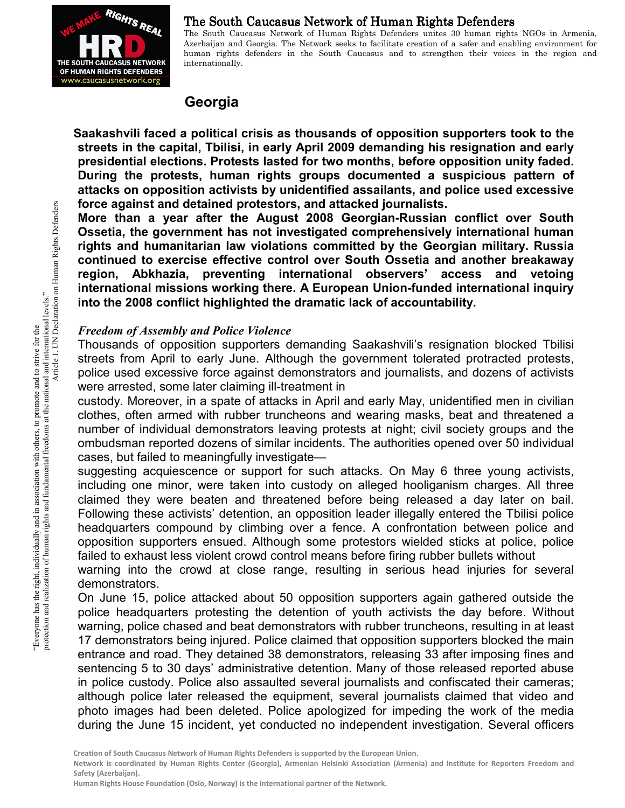### The South Caucasus Network of Human Rights Defenders Defenders



The South Caucasus Network of Human Rights Defenders unites 30 human rights NGOs in Armenia, The South Caucasus Network of Human Rights Defenders unites 30 human rights NGOs in Armenia,<br>Azerbaijan and Georgia. The Network seeks to facilitate creation of a safer and enabling environment for human rights defenders in the South Caucasus and to strengthen their voices in the region and internationally.

# **Georgia**

**Saakashvili faced a political crisis as thousands of opposition crisis of supporters took to the streets in the capital, Tbilisi, in early April 2009 demanding the his resignation and early presidential elections. Protests lasted for two Protests two months, before oppositio** During the protests, human rights groups documented a suspicious pattern of **attacks on opposition activists by unidentified by assailants, and police used excessive force against and detained protestors, protestors, and attacked journalists.**  supporters took to the<br>s resignation and early<br>opposition unity faded. documented a suspicious pattern of<br>lassailants, and police used excessive<br>acked journalists.<br>}eorgian-Russian conflict over South

**More than a year after the August 2008 Georgian ar the Georgian-Russian conflict over South Ossetia, the government has not investigated comprehensively international international human rights and humanitarian law violations committed by the Georgian military. continued to exercise effective another breakaway region, Abkhazia, preventing international observers' access and and vetoing**  region, Abkhazia, preventing international observers' access and vetoing<br>international missions working there. A European Union-funded international inquiry into the 2008 conflict highlighted the dramatic lack of accountability. government has not investigated comprehensively internati<br>umanitarian law violations committed by the Georgian milit<br>exercise effective control over South Ossetia and another **military. Russia** 

# *Freedom of Assembly and Police Violence*

Thousands of opposition supporters demanding Saakashvili's resignation blocked Tbilisi streets from April to early June. Although the government tolerated protracted protests, police used excessive force against demonstrators and journalists, and dozens of activists were arrested, some later claiming ill-treatment in

custody. Moreover, in a spate of attacks in April and early May, unidentified men in civilian clothes, often armed with rubber truncheons and wearing masks, beat and threatened a custody. Moreover, in a spate of attacks in April and early May, unidentified men in civilian<br>clothes, often armed with rubber truncheons and wearing masks, beat and threatened a<br>number of individual demonstrators leaving number of individual demonstrators leaving protests at night; civil society groups and the<br>ombudsman reported dozens of similar incidents. The authorities opened over 50 individual cases, but failed to meaningfully investigate-

suggesting acquiescence or support for such attacks. On May 6 three young activists, including one minor, were taken into custody on alleged hooliganism charges. All three claimed they were beaten and threatened before being released a day later on bail. Following these activists' detention, an opposition leader illegally entered the Tbilisi police headquarters compound by climbing over a fence. A confrontation between police and opposition supporters ensued. Although some protestors wielded sticks at police, police failed to exhaust less violent crowd control means before firing rubber bullets without opposition supporters ensued. Although some protestors wielded sticks at police, police<br>failed to exhaust less violent crowd control means before firing rubber bullets without<br>warning into the crowd at close range, h attacks. On May 6 three young activists,<br>y on alleged hooliganism charges. All three<br>before being released a day later on bail.<br>iition leader illegally entered the Tbilisi police<br>fence. A confrontation between police and

demonstrators.

On June 15, police attacked about 50 opposition supporters again gathered outside police headquarters protesting the detention of youth activists the day warning, police chased and beat demonstrators with rubber truncheons, resulting in at least 17 demonstrators being injured. Police claimed that opposition supporters blocked the main entrance and road. They detained 38 demonstrators, releasing 33 after imposing fines and sentencing 5 to 30 days' administrative detention. Many of those released reported abuse in police custody. Police also assaulted several journalists and confiscated their cameras; although police later released the equipment, several journalists claimed that video and photo images had been deleted. Police apologized for impeding the work of the media photo images had been deleted. Police apologized for impeding the work of the media<br>during the June 15 incident, yet conducted no independent investigation. Several officers attacked about 50 opposition supporters again gand protesting the detention of youth activists the d<br>ed and beat demonstrators with rubber truncheons, day before. Without supporters blocked the main<br>
133 after imposing fines and<br>
1 se released reported abuse<br>
1 confiscated their cameras;<br>
1 ists claimed that video and

Network is coordinated by Human Rights Center (Georgia), Armenian Helsinki Association (Armenia) and Institute for Reporters Freedom and<br>Safety (Azerbaijan).<br>Human Rights House Foundation (Oslo, Norway) is the internationa **Safety (Azerbaijan).**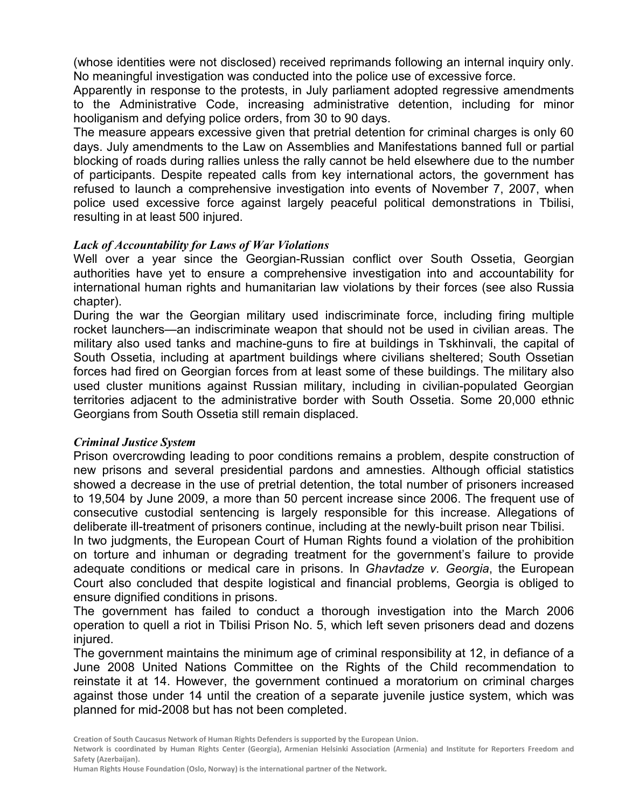(whose identities were not disclosed) received reprimands following an internal inquiry only. No meaningful investigation was conducted into the police use of excessive force.

Apparently in response to the protests, in July parliament adopted regressive amendments to the Administrative Code, increasing administrative detention, including for minor hooliganism and defying police orders, from 30 to 90 days.

The measure appears excessive given that pretrial detention for criminal charges is only 60 days. July amendments to the Law on Assemblies and Manifestations banned full or partial blocking of roads during rallies unless the rally cannot be held elsewhere due to the number of participants. Despite repeated calls from key international actors, the government has refused to launch a comprehensive investigation into events of November 7, 2007, when police used excessive force against largely peaceful political demonstrations in Tbilisi, resulting in at least 500 injured.

### *Lack of Accountability for Laws of War Violations*

Well over a year since the Georgian-Russian conflict over South Ossetia, Georgian authorities have yet to ensure a comprehensive investigation into and accountability for international human rights and humanitarian law violations by their forces (see also Russia chapter).

During the war the Georgian military used indiscriminate force, including firing multiple rocket launchers—an indiscriminate weapon that should not be used in civilian areas. The military also used tanks and machine-guns to fire at buildings in Tskhinvali, the capital of South Ossetia, including at apartment buildings where civilians sheltered; South Ossetian forces had fired on Georgian forces from at least some of these buildings. The military also used cluster munitions against Russian military, including in civilian-populated Georgian territories adjacent to the administrative border with South Ossetia. Some 20,000 ethnic Georgians from South Ossetia still remain displaced.

#### *Criminal Justice System*

Prison overcrowding leading to poor conditions remains a problem, despite construction of new prisons and several presidential pardons and amnesties. Although official statistics showed a decrease in the use of pretrial detention, the total number of prisoners increased to 19,504 by June 2009, a more than 50 percent increase since 2006. The frequent use of consecutive custodial sentencing is largely responsible for this increase. Allegations of deliberate ill-treatment of prisoners continue, including at the newly-built prison near Tbilisi.

In two judgments, the European Court of Human Rights found a violation of the prohibition on torture and inhuman or degrading treatment for the government's failure to provide adequate conditions or medical care in prisons. In *Ghavtadze v. Georgia*, the European Court also concluded that despite logistical and financial problems, Georgia is obliged to ensure dignified conditions in prisons.

The government has failed to conduct a thorough investigation into the March 2006 operation to quell a riot in Tbilisi Prison No. 5, which left seven prisoners dead and dozens injured.

The government maintains the minimum age of criminal responsibility at 12, in defiance of a June 2008 United Nations Committee on the Rights of the Child recommendation to reinstate it at 14. However, the government continued a moratorium on criminal charges against those under 14 until the creation of a separate juvenile justice system, which was planned for mid-2008 but has not been completed.

**Creation of South Caucasus Network of Human Rights Defenders is supported by the European Union.** 

**Network is coordinated by Human Rights Center (Georgia), Armenian Helsinki Association (Armenia) and Institute for Reporters Freedom and Safety (Azerbaijan).** 

**Human Rights House Foundation (Oslo, Norway) is the international partner of the Network.**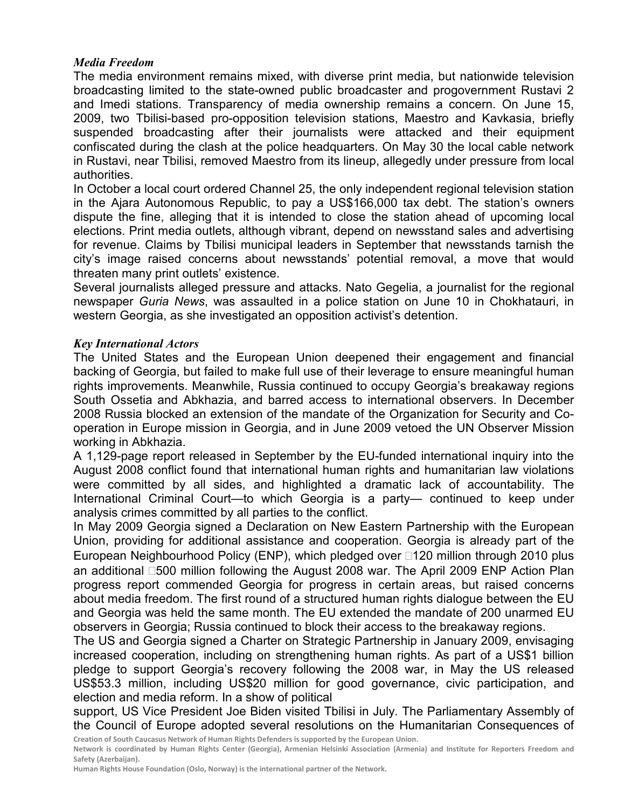### *Media Freedom*

The media environment remains mixed, with diverse print media, but nationwide television broadcasting limited to the state-owned public broadcaster and progovernment Rustavi 2 and Imedi stations. Transparency of media ownership remains a concern. On June 15, 2009, two Tbilisi-based pro-opposition television stations, Maestro and Kavkasia, briefly suspended broadcasting after their journalists were attacked and their equipment confiscated during the clash at the police headquarters. On May 30 the local cable network in Rustavi, near Tbilisi, removed Maestro from its lineup, allegedly under pressure from local authorities.

In October a local court ordered Channel 25, the only independent regional television station in the Ajara Autonomous Republic, to pay a US\$166,000 tax debt. The station's owners dispute the fine, alleging that it is intended to close the station ahead of upcoming local elections. Print media outlets, although vibrant, depend on newsstand sales and advertising for revenue. Claims by Tbilisi municipal leaders in September that newsstands tarnish the city's image raised concerns about newsstands' potential removal, a move that would threaten many print outlets' existence.

Several journalists alleged pressure and attacks. Nato Gegelia, a journalist for the regional newspaper *Guria News*, was assaulted in a police station on June 10 in Chokhatauri, in western Georgia, as she investigated an opposition activist's detention.

# *Key International Actors*

The United States and the European Union deepened their engagement and financial backing of Georgia, but failed to make full use of their leverage to ensure meaningful human rights improvements. Meanwhile, Russia continued to occupy Georgia's breakaway regions South Ossetia and Abkhazia, and barred access to international observers. In December 2008 Russia blocked an extension of the mandate of the Organization for Security and Cooperation in Europe mission in Georgia, and in June 2009 vetoed the UN Observer Mission working in Abkhazia.

A 1,129-page report released in September by the EU-funded international inquiry into the August 2008 conflict found that international human rights and humanitarian law violations were committed by all sides, and highlighted a dramatic lack of accountability. The International Criminal Court—to which Georgia is a party— continued to keep under analysis crimes committed by all parties to the conflict.

In May 2009 Georgia signed a Declaration on New Eastern Partnership with the European Union, providing for additional assistance and cooperation. Georgia is already part of the European Neighbourhood Policy (ENP), which pledged over 120 million through 2010 plus an additional 500 million following the August 2008 war. The April 2009 ENP Action Plan progress report commended Georgia for progress in certain areas, but raised concerns about media freedom. The first round of a structured human rights dialogue between the EU and Georgia was held the same month. The EU extended the mandate of 200 unarmed EU observers in Georgia; Russia continued to block their access to the breakaway regions.

The US and Georgia signed a Charter on Strategic Partnership in January 2009, envisaging increased cooperation, including on strengthening human rights. As part of a US\$1 billion pledge to support Georgia's recovery following the 2008 war, in May the US released US\$53.3 million, including US\$20 million for good governance, civic participation, and election and media reform. In a show of political

support, US Vice President Joe Biden visited Tbilisi in July. The Parliamentary Assembly of the Council of Europe adopted several resolutions on the Humanitarian Consequences of

**Creation of South Caucasus Network of Human Rights Defenders is supported by the European Union.** 

**Network is coordinated by Human Rights Center (Georgia), Armenian Helsinki Association (Armenia) and Institute for Reporters Freedom and Safety (Azerbaijan).**